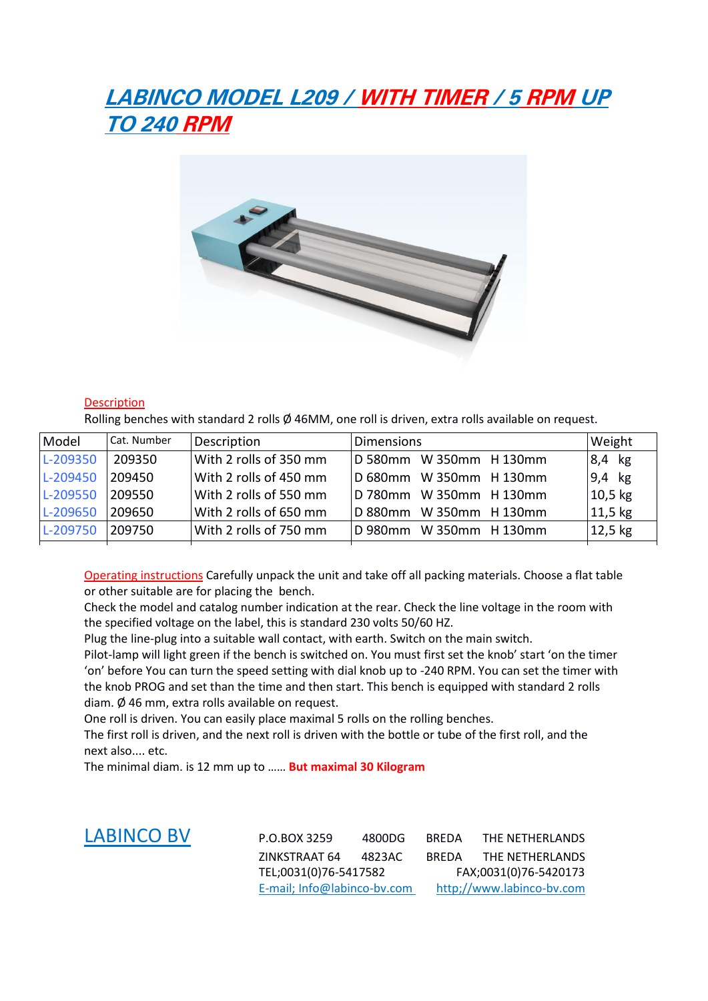# **LABINCO MODEL L209 / WITH TIMER / 5 RPM UP TO 240 RPM**



### Description

Rolling benches with standard 2 rolls Ø 46MM, one roll is driven, extra rolls available on request.

| Model    | Cat. Number | Description            | <b>Dimensions</b>       | Weight    |
|----------|-------------|------------------------|-------------------------|-----------|
| L-209350 | 209350      | With 2 rolls of 350 mm | D 580mm W 350mm H 130mm | $8,4$ kg  |
| L-209450 | 209450      | With 2 rolls of 450 mm | D 680mm W 350mm H 130mm | 9,4 kg    |
| L-209550 | 209550      | With 2 rolls of 550 mm | D 780mm W 350mm H 130mm | $10,5$ kg |
| L-209650 | 209650      | With 2 rolls of 650 mm | D 880mm W 350mm H 130mm | 11,5 kg   |
| L-209750 | 209750      | With 2 rolls of 750 mm | D 980mm W 350mm H 130mm | 12,5 kg   |

Operating instructions Carefully unpack the unit and take off all packing materials. Choose a flat table or other suitable are for placing the bench.

Check the model and catalog number indication at the rear. Check the line voltage in the room with the specified voltage on the label, this is standard 230 volts 50/60 HZ.

Plug the line-plug into a suitable wall contact, with earth. Switch on the main switch.

Pilot-lamp will light green if the bench is switched on. You must first set the knob' start 'on the timer 'on' before You can turn the speed setting with dial knob up to -240 RPM. You can set the timer with the knob PROG and set than the time and then start. This bench is equipped with standard 2 rolls diam. Ø 46 mm, extra rolls available on request.

One roll is driven. You can easily place maximal 5 rolls on the rolling benches.

The first roll is driven, and the next roll is driven with the bottle or tube of the first roll, and the next also.... etc.

The minimal diam. is 12 mm up to …… **But maximal 30 Kilogram**

LABINCO BV P.O.BOX 3259 4800DG BREDA THE NETHERLANDS ZINKSTRAAT 64 4823AC BREDA THE NETHERLANDS TEL;0031(0)76-5417582 FAX;0031(0)76-5420173 E-mail; Info@labinco-bv.com http;//www.labinco-bv.com